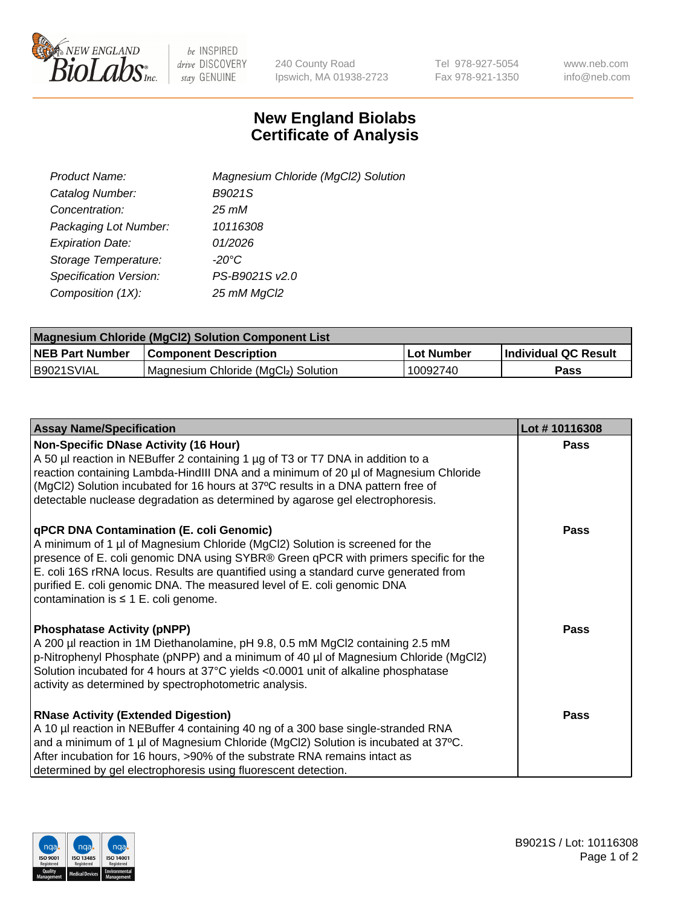

 $be$  INSPIRED drive DISCOVERY stay GENUINE

240 County Road Ipswich, MA 01938-2723 Tel 978-927-5054 Fax 978-921-1350 www.neb.com info@neb.com

## **New England Biolabs Certificate of Analysis**

| Product Name:           | Magnesium Chloride (MgCl2) Solution |
|-------------------------|-------------------------------------|
| Catalog Number:         | B9021S                              |
| Concentration:          | 25 mM                               |
| Packaging Lot Number:   | 10116308                            |
| <b>Expiration Date:</b> | 01/2026                             |
| Storage Temperature:    | $-20^{\circ}$ C                     |
| Specification Version:  | PS-B9021S v2.0                      |
| Composition (1X):       | 25 mM MgCl2                         |

| <b>Magnesium Chloride (MgCl2) Solution Component List</b> |                                     |            |                             |  |  |
|-----------------------------------------------------------|-------------------------------------|------------|-----------------------------|--|--|
| <b>NEB Part Number</b>                                    | <b>Component Description</b>        | Lot Number | <b>Individual QC Result</b> |  |  |
| B9021SVIAL                                                | Magnesium Chloride (MgCl2) Solution | 10092740   | Pass                        |  |  |

| <b>Assay Name/Specification</b>                                                                                                                                                                                                                                                                                                                                                                                                         | Lot #10116308 |
|-----------------------------------------------------------------------------------------------------------------------------------------------------------------------------------------------------------------------------------------------------------------------------------------------------------------------------------------------------------------------------------------------------------------------------------------|---------------|
| <b>Non-Specific DNase Activity (16 Hour)</b><br>A 50 µl reaction in NEBuffer 2 containing 1 µg of T3 or T7 DNA in addition to a<br>reaction containing Lambda-HindIII DNA and a minimum of 20 µl of Magnesium Chloride<br>(MgCl2) Solution incubated for 16 hours at 37°C results in a DNA pattern free of<br>detectable nuclease degradation as determined by agarose gel electrophoresis.                                             | Pass          |
| <b>qPCR DNA Contamination (E. coli Genomic)</b><br>A minimum of 1 µl of Magnesium Chloride (MgCl2) Solution is screened for the<br>presence of E. coli genomic DNA using SYBR® Green qPCR with primers specific for the<br>E. coli 16S rRNA locus. Results are quantified using a standard curve generated from<br>purified E. coli genomic DNA. The measured level of E. coli genomic DNA<br>contamination is $\leq 1$ E. coli genome. | Pass          |
| <b>Phosphatase Activity (pNPP)</b><br>A 200 µl reaction in 1M Diethanolamine, pH 9.8, 0.5 mM MgCl2 containing 2.5 mM<br>p-Nitrophenyl Phosphate (pNPP) and a minimum of 40 µl of Magnesium Chloride (MgCl2)<br>Solution incubated for 4 hours at 37°C yields <0.0001 unit of alkaline phosphatase<br>activity as determined by spectrophotometric analysis.                                                                             | Pass          |
| <b>RNase Activity (Extended Digestion)</b><br>A 10 µl reaction in NEBuffer 4 containing 40 ng of a 300 base single-stranded RNA<br>and a minimum of 1 µl of Magnesium Chloride (MgCl2) Solution is incubated at 37°C.<br>After incubation for 16 hours, >90% of the substrate RNA remains intact as<br>determined by gel electrophoresis using fluorescent detection.                                                                   | <b>Pass</b>   |